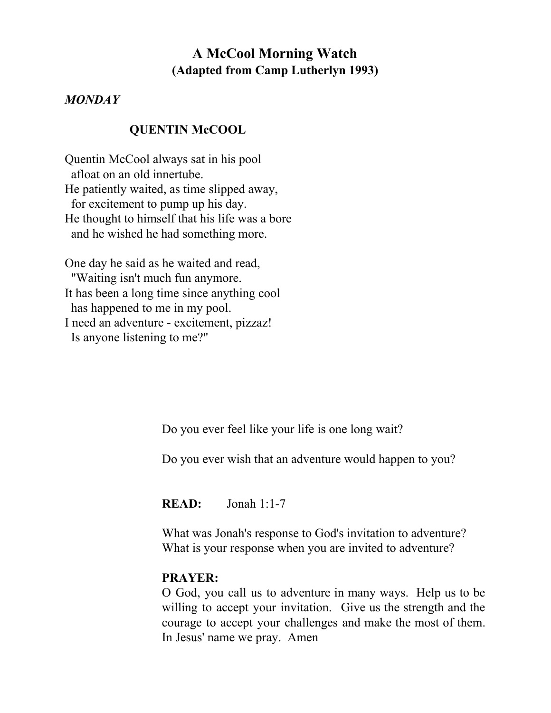# **A McCool Morning Watch (Adapted from Camp Lutherlyn 1993)**

### *MONDAY*

### **QUENTIN McCOOL**

Quentin McCool always sat in his pool afloat on an old innertube. He patiently waited, as time slipped away, for excitement to pump up his day. He thought to himself that his life was a bore and he wished he had something more.

One day he said as he waited and read, "Waiting isn't much fun anymore. It has been a long time since anything cool has happened to me in my pool. I need an adventure - excitement, pizzaz! Is anyone listening to me?"

Do you ever feel like your life is one long wait?

Do you ever wish that an adventure would happen to you?

**READ:** Jonah 1:1-7

What was Jonah's response to God's invitation to adventure? What is your response when you are invited to adventure?

## **PRAYER:**

O God, you call us to adventure in many ways. Help us to be willing to accept your invitation. Give us the strength and the courage to accept your challenges and make the most of them. In Jesus' name we pray. Amen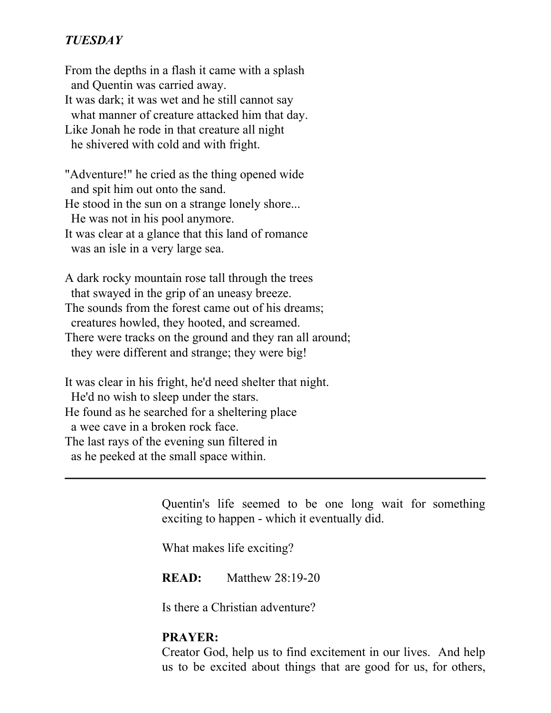# *TUESDAY*

From the depths in a flash it came with a splash and Quentin was carried away. It was dark; it was wet and he still cannot say what manner of creature attacked him that day. Like Jonah he rode in that creature all night he shivered with cold and with fright.

"Adventure!" he cried as the thing opened wide and spit him out onto the sand. He stood in the sun on a strange lonely shore...

He was not in his pool anymore.

It was clear at a glance that this land of romance was an isle in a very large sea.

A dark rocky mountain rose tall through the trees that swayed in the grip of an uneasy breeze. The sounds from the forest came out of his dreams; creatures howled, they hooted, and screamed. There were tracks on the ground and they ran all around; they were different and strange; they were big!

It was clear in his fright, he'd need shelter that night. He'd no wish to sleep under the stars. He found as he searched for a sheltering place a wee cave in a broken rock face. The last rays of the evening sun filtered in as he peeked at the small space within.

> Quentin's life seemed to be one long wait for something exciting to happen - which it eventually did.

What makes life exciting?

**READ:** Matthew 28:19-20

Is there a Christian adventure?

### **PRAYER:**

Creator God, help us to find excitement in our lives. And help us to be excited about things that are good for us, for others,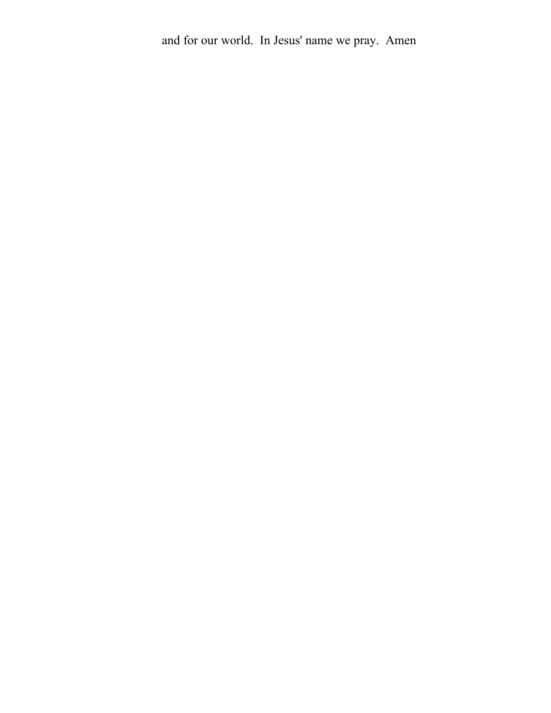and for our world. In Jesus' name we pray. Amen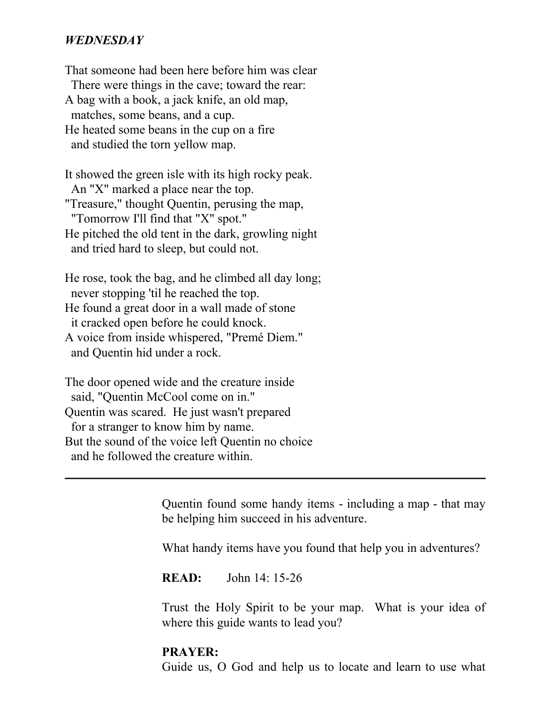### *WEDNESDAY*

That someone had been here before him was clear There were things in the cave; toward the rear: A bag with a book, a jack knife, an old map, matches, some beans, and a cup. He heated some beans in the cup on a fire and studied the torn yellow map.

It showed the green isle with its high rocky peak. An "X" marked a place near the top. "Treasure," thought Quentin, perusing the map, "Tomorrow I'll find that "X" spot." He pitched the old tent in the dark, growling night and tried hard to sleep, but could not.

He rose, took the bag, and he climbed all day long; never stopping 'til he reached the top. He found a great door in a wall made of stone it cracked open before he could knock. A voice from inside whispered, "Premé Diem." and Quentin hid under a rock.

The door opened wide and the creature inside said, "Quentin McCool come on in." Quentin was scared. He just wasn't prepared for a stranger to know him by name. But the sound of the voice left Quentin no choice and he followed the creature within.

> Quentin found some handy items - including a map - that may be helping him succeed in his adventure.

What handy items have you found that help you in adventures?

**READ:** John 14: 15-26

Trust the Holy Spirit to be your map. What is your idea of where this guide wants to lead you?

### **PRAYER:**

Guide us, O God and help us to locate and learn to use what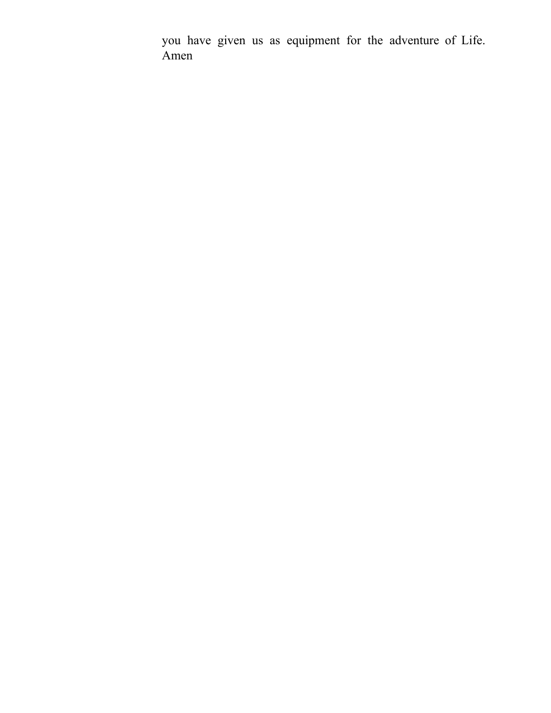you have given us as equipment for the adventure of Life. Amen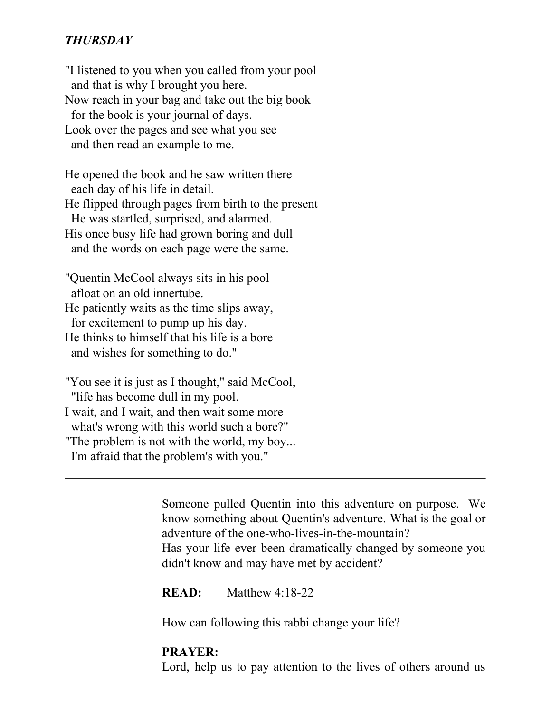# *THURSDAY*

"I listened to you when you called from your pool and that is why I brought you here. Now reach in your bag and take out the big book for the book is your journal of days. Look over the pages and see what you see and then read an example to me.

He opened the book and he saw written there each day of his life in detail. He flipped through pages from birth to the present He was startled, surprised, and alarmed. His once busy life had grown boring and dull and the words on each page were the same.

"Quentin McCool always sits in his pool afloat on an old innertube. He patiently waits as the time slips away, for excitement to pump up his day. He thinks to himself that his life is a bore and wishes for something to do."

"You see it is just as I thought," said McCool, "life has become dull in my pool. I wait, and I wait, and then wait some more what's wrong with this world such a bore?" "The problem is not with the world, my boy... I'm afraid that the problem's with you."

> Someone pulled Quentin into this adventure on purpose. We know something about Quentin's adventure. What is the goal or adventure of the one-who-lives-in-the-mountain? Has your life ever been dramatically changed by someone you didn't know and may have met by accident?

**READ:** Matthew 4:18-22

How can following this rabbi change your life?

### **PRAYER:**

Lord, help us to pay attention to the lives of others around us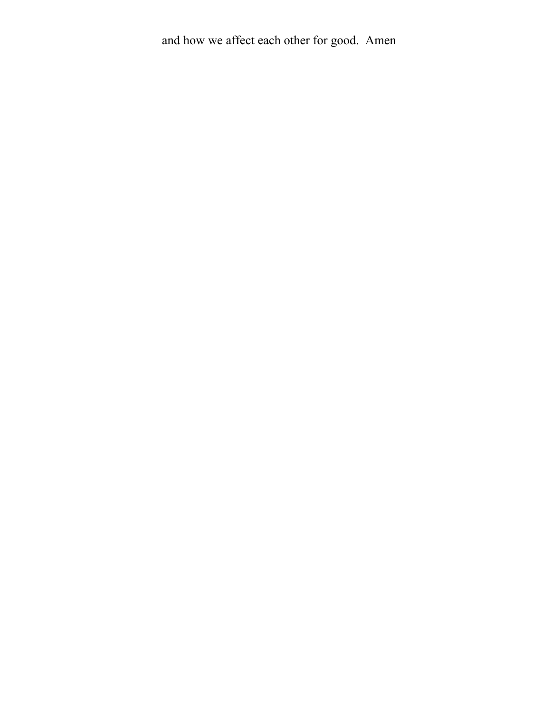and how we affect each other for good. Amen